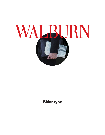

### **Shinntype**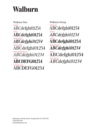## Walburn

Walburn Fine LIGHT ABCdefghi01234 BOLD **ABCdefghi01234** BOLD ITALIC *ABCdefghi01234* TEXT LIG ABCdefghi01234 TEXT LIGHT ITALIC *ABCdefghi01234* ULTRA ABCDEFG01234 TOOLED CAPS ABCDEFG01234

Walburn Strong REGULAR ABCdefghi01234 ITALIC *ABCdefghi01234* BLACK ABCdefghi01234 BLACK ITALIC *ABCdefghi01234* TEXT ABCdefghi01234 TEXT ITALIC *ABCdefghi01234*

Shinntype, 42 John Street, Orangeville, ON L9W 2P3 (519) 938-5538 nick@shinntype.com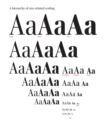A hierarchy of size-related scaling

## Aa**Aa**Aa Aa**Aa**Aa Aa**Aa**Aa Aa**Aa**Aa AaAa Aa Aa**Aa**Aa AaAa Aa AaAaAa AaAa Aa Aa Aaaa Aa AaAa Aa Aa AaAa Aa Aa Light Bold Ultra Text Light Regular Black Text

Aa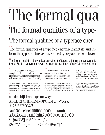# The formal

## The formal qualities of a type-

## The formal qualities of a typeface ener-

The formal qualities of a typeface energize, facilitate and inform the typographic layout. Skilled typographers will lever-

The formal qualities of a typeface energize, facilitate and inform the typographic layout. Skilled typographers will leverage the attributes of carefully selected fonts

 $\frac{12}{15}$ 

 $\frac{1}{14/15}$ The formal qualities of a typeface energize, facilitate and inform the typographic layout. Skilled typographers will leverage the attributes of carefully

The formal qualities of a typeface energize, facilitate and inform the typographic layout. Skilled typographers will leverage the attributes of carefully selected fonts to enhance the personality of the page, thereby standing out from the crowd. The formal qualities of a typeface energize, facilitate

The formal qualities of a typeface energize, facilitate and inform the typographic layout. Skilled typographers will leverage the attributes of

The formal qualities of a typeface energize, facilitate and inform the typographic layout. Skilled typographers will leverage the attributes of judiciously chosen fonts to maximize the personality of the page, thereby standing out from the crowd. The formal qualities of a typeface energize, The formal qualities of a typeface energize, facilitate and inform the typographic layout. Skilled typographers will leverage the attributes of judiciously chosen fonts to maximize

 $10/11$ 

The formal qualities of a typeface energize, facilitate and inform the typographic layout. Skilled typographers will leverage the attributes of judiciously chosen fonts to maximize the personality of the page, thereby standing out from the crowd. The formal qualities of a typeface energize, facilitate and inform the

### abcdefghijklmnopqrstuvwxyz ABCDEFGHIJKLMNOPQRSTUVWXYZ #1234567890&?! <sup>a</sup>áàâãäåæçéèêëfiflíìîïñ%ôôõøœßúùûü ÁÀÂÃÄÅÆÇÉÈÈËÎÎÎÏÑÓÒÔÕÖØŒÚÙÛÜ  $(\$Eff\$ ¤);{=+-±÷<>¬^~%%"|"|™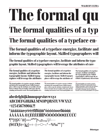# l'he forma

# The formal qualities of a typ

## The formal qualities of a typeface en-

### The formal qualities of a typeface energize, facilitate and inform the typographic layout. Skilled typographers will

The formal qualities of a typeface energize, facilitate and inform the typographic layout. Skilled typographers will leverage the attributes of care-

 $\frac{12}{15}$ 

 $\frac{1}{14/15}$ The formal qualities of a typeface energize, facilitate and inform the typographic layout. Skilled typographers will leverage the attributes

The formal qualities of a typeface energize, facilitate and inform the typographic layout. Skilled typographers will leverage the attributes of carefully selected fonts to enhance the personality of the page, thereby standing out from the crowd. The formal qualities of a

The formal qualities of a typeface energize, facilitate and inform the typographic layout. Skilled typographers will leverage the attributes of

The formal qualities of a typeface energize, facilitate and inform the typographic layout. Skilled typographers will leverage the attributes of judiciously chosen fonts

 $10/11$ 

 $7/8$ 

#### abcdefghijklmnopqrstuvwxyz ABCDEFGHIJKLMNOPQRSTUVWXYZ #1234567890&?! <sup>a</sup> áàâãääæçéèêëfiflíìîïñ<sup>o</sup>óòôõöøœßúùûü ÁÀÂÃÄÅÆÇÉÈÈËĤÌÏÑÓÒÔÕÖØŒÚÙŮÜ  $\P^*$  +  $\mathcal{S}^{\circ}$  @  $\cdots$   $\cdots$  ,  $\cdots$  ,  $\frac{1}{2}$  $(SE X f \circ x)$

The formal qualities of a typeface energize, facilitate and inform the typographic layout. Skilled typographers will leverage the attributes of judiciously chosen fonts to maximize the personality of the page, thereby standing out from the crowd. The formal qualities of a

The formal qualities of a typeface energize, facilitate and inform the typographic layout. Skilled typographers will leverage the attributes of judiciously chosen fonts to maximize the personality of the page, thereby standing out from the crowd. The formal qualities of a typeface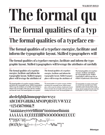# l'he formal

# The formal qualities of a typ

## The formal qualities of a typeface en-

The formal qualities of a typeface energize, facilitate and inform the typographic layout. Skilled typographers will

The formal qualities of a typeface energize, facilitate and inform the typographic layout. Skilled typographers will leverage the attributes of carefully

 $\frac{12}{15}$ 

 $\frac{1}{14/15}$ The formal qualities of a typeface energize, facilitate and inform the typographic layout. Skilled typographers will leverage the attributes of

The formal qualities of a typeface energize, facilitate and inform the typographic layout. Skilled typographers will leverage the attributes of carefully selected fonts to enhance the personality of the page, thereby standing out from the crowd. The formal qualities of a typeface

The formal qualities of a typeface energize, facilitate and inform the typographic layout. Skilled typographers will leverage the attributes of

The formal qualities of a typeface energize, facilitate and inform the typographic layout. Skilled typographers will leverage the attributes of judiciously chosen fonts

 $10/11$ 

 $7/8$ 

### abcdefghijklmnopqrstuvwxyz ABCDEFGHIJKLMNOPQRSTUVWXYZ #1234567890&?! <sup>a</sup>áàâãäåæçéèêëfiflíììïñ<sup>o</sup>óòôõöøœßúùûü **ÁAAÃAÄÆÇÉÈËËÎÎÎÑÓÒÒÕŐØŒÚÙÛÜ**  $(S \in \pounds Y f \circ \kappa)$   $:$   $\{-+-\pm \div \triangleright -\wedge \sim 0$   $\infty$   $\infty$   $\infty$   $\infty$   $\infty$   $\infty$   $\infty$   $\infty$   $\infty$   $\infty$   $\infty$   $\infty$   $\infty$   $\infty$   $\infty$   $\infty$   $\infty$   $\infty$   $\infty$   $\infty$   $\infty$   $\infty$   $\infty$   $\infty$   $\infty$   $\infty$   $\infty$   $\infty$   $\infty$   $\infty$

The formal qualities of a typeface energize, facilitate and inform the typographic layout. Skilled typographers will leverage the attributes of judiciously chosen fonts to maximize the personality of the page, thereby standing out from the crowd. The formal qualities of a

The formal qualities of a typeface energize, facilitate and inform the typographic layout. Skilled typographers will leverage the attributes of judiciously chosen fonts to maximize the personality of the page, thereby standing out from the crowd. The formal qualities of a typeface energize, facilitate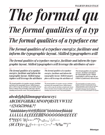# The formal qu

The formal qualities of a typ

The formal qualities of a typeface ene

The formal qualities of a typeface energize, facilitate and inform the typographic layout. Skilled typographers will

The formal qualities of a typeface energize, facilitate and inform the typographic layout. Skilled typographers will leverage the attributes of care-

 $\frac{12}{15}$ 

 $\frac{1}{14/15}$ The formal qualities of a typeface energize, facilitate and inform the typographic layout. Skilled typographers will leverage the attributes

The formal qualities of a typeface energize, facilitate and inform the typographic layout. Skilled typographers will leverage the attributes of carefully selected fonts to enhance the personality of the page, thereby standing out from the crowd. The formal qualities of

The formal qualities of a typeface energize, facilitate and inform the typographic layout. Skilled typogra*phers will leverage the attributes of* 

The formal qualities of a typeface energize, facilitate and inform the typographic layout. Skilled typographers will leverage the attributes of judiciously chosen fonts to maximize the personality of the page, thereby standing out from the crowd. The formal qualities

The formal qualities of a typeface energize, facilitate and inform the typographic layout. Skilled typographers will leverage the attributes of judiciously chosen fonts

 $10/11$ 

The formal qualities of a typeface energize, facilitate and inform the typographic layout. Skilled typographers will leverage the attributes of judiciously chosen fonts to maximize the personality of the page, thereby standing out from the crowd. The formal qualities of a typeface

abcdefghijklmnopqrstuvwxyz ABCDEFGHIJKLMNOPQRSTUVWXYZ #1234567890&?! <sup>a</sup>áàâãäåæçéèêëfiflíìîïñ °óòôõöøœßúùûü *AAAAAAÆÇÉÉÉÉÉÍIIÑÓÒÔÕÖØŒŰÙŰÜ*  $\textit{W*} \qquad \qquad \textit{W*} \qquad \qquad \textit{W*} \qquad \qquad \textit{W*} \qquad \qquad \textit{W*} \qquad \qquad \textit{W*} \qquad \qquad \textit{W*} \qquad \qquad \textit{W*} \qquad \qquad \textit{W*} \qquad \qquad \textit{W*} \qquad \qquad \textit{W*} \qquad \qquad \textit{W*} \qquad \qquad \textit{W*} \qquad \qquad \textit{W*} \qquad \qquad \textit{W*} \qquad \qquad \textit{W*} \qquad \qquad \textit{W*} \qquad \q$  $(S \epsilon \pounds \pounds \pounds \pounds \pounds \pounds \rA)$  ;  $\gamma = + - \pm \div \langle > - \wedge \sim \% \% o'''' \rangle^{rw}$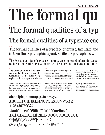# The forma.

# The formal qualities of a typ

## The formal qualities of a typeface ene

The formal qualities of a typeface energize, facilitate and inform the typographic layout. Skilled typographers will

The formal qualities of a typeface energize, facilitate and inform the typographic layout. Skilled typographers will leverage the attributes of carefully

 $\frac{12}{15}$ 

 $\frac{1}{14/15}$ The formal qualities of a typeface energize, facilitate and inform the typographic layout. Skilled typographers will leverage the attributes

The formal qualities of a typeface energize, facilitate and inform the typographic layout. Skilled typographers will leverage the attributes of carefully selected fonts to enhance the personality of the page, thereby standing out from the crowd. The formal qualities of a

The formal qualities of a typeface energize, facilitate and inform the typographic layout. Skilled typographers will leverage the attributes of

The formal qualities of a typeface energize, facilitate and inform the typographic layout. Skilled typographers will leverage the attributes of judiciously chosen fonts to maximize the personality of the page, thereby standing out from the crowd. The formal

The formal qualities of a typeface energize, facilitate and inform the typographic layout. Skilled typographers will leverage the attributes of judiciously chosen fonts

 $10/11$ 

 $7/8$ 

The formal qualities of a typeface energize, facilitate and inform the typographic layout. Skilled typographers will leverage the attributes of judiciously chosen fonts to maximize the personality of the page, thereby standing out from the crowd. The formal qualities of a typeface

### abcdefghijklmnopqrstuvwxyz ABCDEFGHIJKLMNOPQRSTUVWXYZ #1234567890&?! <sup>a</sup>áàâãäåæçéèêëfiflíìîïñ<sup>o</sup>óòôõöøœßúùûü ÁÀÂÃÄÄÆÇÉÈÈËÍÌÎÏÑÓÒÔÕØŒÚÙÛÜ  $\P^*$  +  $\frac{1}{2}$ SO<sup>®</sup>@[«»  $\circ$  "<sup>\*\*\*\*</sup>'] •• .,;:...,,\| //--- $($Eff(x)|:=-\pm \div \rightarrow \gamma^0\$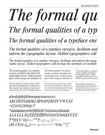# The formal qu

The formal qualities of a typ

The formal qualities of a typeface ene

The formal qualities of a typeface energize, facilitate and inform the typographic layout. Skilled typographers will

The formal qualities of a typeface energize, facilitate and inform the typographic layout. Skilled typographers will leverage the attributes of carefully

 $\frac{12}{15}$ 

The formal qualities of a typeface energize, facilitate and inform the typographic layout. Skilled typographers will leverage the attributes of

The formal qualities of a typeface energize, facilitate and inform the typographic layout. Skilled typographers will leverage the attributes of carefully selected fonts to enhance the personality of the page, thereby standing out from the crowd. The formal qualities of a

The formal qualities of a typeface *energize, facilitate and inform the* typographic layout. Skilled typogra*phers will leverage the attributes of* 

The formal qualities of a typeface energize, facilitate and inform the typographic layout. Skilled typographers will leverage the attributes of judiciously chosen fonts to maximize the personality of the page, thereby standing out from the crowd. The formal qualiThe formal qualities of a typeface energize, facilitate and inform the typographic layout. Skilled typographers will leverage the attributes of judiciously chosen fonts

 $10/11$ 

The formal qualities of a typeface energize, facilitate and inform the typographic layout. Skilled typographers will leverage the attributes of judiciously chosen fonts to maximize the personality of the page, thereby standing out from the crowd. The formal qualities of a typeface

abcdefghijklmnopqrstuvwxyz ABCDEFGHIJKLMNOPQRSTUVWXYZ #1234567890&?! <sup>a</sup>áàâãäåæçéèêëfiflúìïñ°óòôõöøœßúùûü AAAAAA ÆÇÉÈÊË ETTIN SO O O O O O ELIVIU  $(\$\text{E}\text{E}\text{H}f\phi\text{m}$)$ ; ;{=+-±÷<>¬^ ~ %%0 ''' $^{\circ}$  }  $^{\text{\tiny{TM}}}$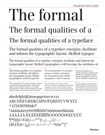#### WALBURN TEXT LIGHT

# l'he forma

# The formal qualities of a

## The formal qualities of a typeface

The formal qualities of a typeface energize, facilitate and inform the typographic layout. Skilled typogra-

The formal qualities of a typeface energize, facilitate and inform the typographic layout. Skilled typographers will leverage the attributes of

 $\frac{12}{15}$ 

 $\frac{14}{14}$ The formal qualities of a typeface energize, facilitate and inform the typographic layout. Skilled typographers will leverage the

The formal qualities of a typeface energize, facilitate and inform the typographic layout. Skilled typographers will leverage the attributes of carefully selected fonts to enhance the personality of the page, thereby standing out from the crowd. The formal

The formal qualities of a typeface energize, facilitate and inform the typographic layout. Skilled typographers will leverage the

The formal qualities of a typeface energize, facilitate and inform the typographic layout. Skilled typographers will leverage the attributes of judiciously chosen fonts to maximize the personality of the page, thereby standing out from the crowd. The

The formal qualities of a typeface energize, facilitate and inform the typographic layout. Skilled typographers will leverage the attributes of judiciously

 $10/11$ 

abcdefghijklmnopqrstuvwxyz ABCDEFGHIJKLMNOPQRSTUVWXYZ #1234567890&?! <sup>a</sup>áàâãäåæçéèêëfiflíìîïñ%ôôõõøœßúùûü ÁÀÂÃÄÅÆÇÉÈÊËÎÌÎÏÑÓÒÔÕØŒÚÙÛÜ  $\P^*$  +  $\frac{1}{5}$  O B  $\omega$  (  $\infty$   $\infty$   $\infty$   $\infty$  )  $\infty$  ,  $\infty$  ,  $\infty$  ,  $\infty$  ,  $\infty$  ,  $\infty$  ,  $\infty$  ,  $\infty$  ,  $\infty$  ,  $\infty$  ,  $\infty$  ,  $\infty$  ,  $\infty$  ,  $\infty$  ,  $\infty$  ,  $\infty$  ,  $\infty$  ,  $\infty$  ,  $\infty$  ,  $\infty$  ,  $\infty$   $($Eff(x)]$ 

The formal qualities of a typeface energize, facilitate and inform the typographic layout. Skilled typographers will leverage the attributes of judiciously chosen fonts to maximize the personality of the page, thereby standing out from the crowd. The formal qualities of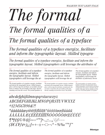#### WALBURN TEXT LIGHT ITALIC

# The formal

# The formal qualities of a

### The formal qualities of a typeface

The formal qualities of a typeface energize, facilitate and inform the typographic layout. Skilled typogra-

The formal qualities of a typeface energize, facilitate and inform the typographic layout. Skilled typographers will leverage the attributes of

 $\frac{12}{15}$ 

 $\frac{1}{14/15}$ The formal qualities of a typeface energize, facilitate and inform the typographic layout. Skilled typographers will leverage the at-

The formal qualities of a typeface energize, facilitate and inform the typographic layout. Skilled typographers will leverage the attributes of carefully selected fonts to enhance the personality of the page, thereby standing out from the crowd. The formal qualities of

The formal qualities of a typeface energize, facilitate and inform the typographic layout. Skilled typographers will leverage the at-

The formal qualities of a typeface energize, facilitate and inform the typographic layout. Skilled typographers will leverage the attributes of judiciously chosen fonts to maximize the personality of the page, thereby standing out from the crowd. The formal

The formal qualities of a typeface energize, facilitate and inform the typographic layout. Skilled typographers will leverage the attributes of judiciously chosen

 $10/11$ 

 $7/8$ 

### abcdefghijklmnopqrstuvwxyz ABCDEFGHIJKLMNOPQRSTUVWXYZ #1234567890&?!

<sup>a</sup>áàâãäåæçéèêëfiflíìîïñ°óòôõöøœßúùûü AAAAÄAÆÇÉÈÊËÍÌÎIÑÓÒÔÕÖØŒŰÙŮÜ  $(S\epsilon E F f \phi^{\alpha})$ ; ; {=+-±÷<>¬^ ~ %%0'" $^{\circ}$  }  $^{\text{\tiny{TM}}}$ 

The formal qualities of a typeface energize, facilitate and inform the typographic layout. Skilled typographers will leverage the attributes of judiciously chosen fonts to maximize the personality of the page, thereby standing out from the crowd. The formal qualities of a typeface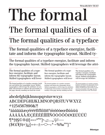#### **WALBURN TEXT**

# l'he forma

# The formal qualities of a

### The formal qualities of a typeface

The formal qualities of a typeface energize, facilitate and inform the typographic layout. Skilled ty-

The formal qualities of a typeface energize, facilitate and inform the typographic layout. Skilled typographers will leverage the attri-

 $\frac{12}{15}$ 

 $\frac{14}{14}$ The formal qualities of a typeface energize, facilitate and inform the typographic layout. Skilled typographers will lever-

The formal qualities of a typeface energize, facilitate and inform the typographic layout. Skilled typographers will leverage the attributes of carefully selected fonts to enhance the personality of the page, thereby standing out from the crowd.

The formal qualities of a typeface energize, facilitate and inform the typographic layout. Skilled typographers will lever-

The formal qualities of a typeface energize, facilitate and inform the typographic layout. Skilled typographers will leverage the attributes of judiciously chosen fonts to maximize the personality of the page, thereby standing out from

The formal qualities of a typeface energize, facilitate and inform the typographic layout. Skilled typographers will leverage the attributes

 $10/11$ 

#### abcdefghijklmnopqrstuvwxyz ABCDEFGHIJKLMNOPQRSTUVWXYZ #1234567890&?! <sup>a</sup>áàâãäåæçéèêëfiflíìîïñºóòôõöøœßúùûü ÁÀÂÃÄÅÆÇÉÈÈËÍÌÎÏÑÓÒÔÕØŒÚÙÛÜ  $\P^*$ † $\frac{1}{2}$ SO®@[«» $\circ$ <sup>"\*\*\*\*</sup>]•·.,;;...,,\|//--- $($Eff(x)]$ ; =+-±÷<>-1^~%%"|"

The formal qualities of a typeface energize, facilitate and inform the typographic layout. Skilled typographers will leverage the attributes of judiciously chosen fonts to maximize the personality of the page, thereby standing out from the crowd. The formal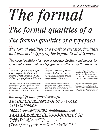# The formal

## The formal qualities of a

## The formal qualities of a typeface

The formal qualities of a typeface energize, facilitate and inform the typographic layout. Skilled typogra-

The formal qualities of a typeface energize, facilitate and inform the typographic layout. Skilled typographers will leverage the attributes

 $\frac{12}{15}$ 

 $\frac{1}{14/15}$ The formal qualities of a typeface energize, facilitate and *inform the typographic layout.* Skilled typographers will lever-

The formal qualities of a typeface energize, facilitate and inform the typographic layout. Skilled typographers will leverage the attributes of carefully selected fonts to enhance the personality of the page, thereby standing out from the crowd. The

The formal qualities of a typeface energize, facilitate and inform the typographic layout. Skilled *typographers will leverage the* 

The formal qualities of a typeface energize, facilitate and inform the typographic layout. Skilled typographers will leverage the attributes of judiciously chosen fonts to maximize the personality of the page, thereby standing out from

The formal qualities of a typeface energize, facilitate and inform the typographic layout. Skilled typographers will leverage the attributes of judiciously

 $10/11$ 

The formal qualities of a typeface energize, facilitate and inform the typographic layout. Skilled typographers will leverage the attributes of judiciously chosen fonts to maximize the personality of the page, thereby standing out from the crowd. The formal qualities of

### abcdefghijklmnopqrstuvwxyz ABCDEFGHIJKLMNOPQRSTUVWXYZ #1234567890&?!

<sup>a</sup>áàâãäåæçéèêëfiflíìîïñ°óòôõöøœßúùûü AAAAAAÆÇÉÈÊËÍÎÍÏÑÓÒÔÕÕØŒŰÙŰÜ  $(\$\text{EEH}(\phi\text{m})_i\text{H}=-\pm\div<>\sim^{\wedge} \sim\% \text{W0}$  (" $\text{W}$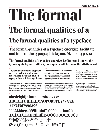#### **WALBURN BLACK**

# l'he forma

# The formal qualities of a

## The formal qualities of a typeface

The formal qualities of a typeface energize, facilitate and inform the typographic layout. Skilled typogra-

The formal qualities of a typeface energize, facilitate and inform the typographic layout. Skilled typographers will leverage the attributes of

 $\frac{12}{15}$ 

The formal qualities of a typeface energize, facilitate and inform the typographic layout. Skilled typographers will leverage the at-

 $\frac{1}{14/15}$ 

The formal qualities of a typeface energize, facilitate and inform the typographic layout. Skilled typographers will leverage the attributes of carefully selected fonts to enhance the personality of the page, thereby standing out from the crowd. The formal qualities

The formal qualities of a typeface energize, facilitate and inform the typographic layout. Skilled typographers will leverage the

The formal qualities of a typeface energize, facilitate and inform the typographic layout. Skilled typographers will leverage the attributes of judiciously chosen fonts to maximize the personality of the page, thereby standing out from the crowd. The formal

The formal qualities of a typeface energize, facilitate and inform the typographic layout. Skilled typographers will leverage the attributes of judiciously chosen

 $10/11$ 

 $7/8$ 

#### abcdefghijklmnopqrstuvwxyz ABCDEFGHIJKLMNOPQRSTUVWXYZ #1234567890&?! <sup>a</sup>áàâãäåæçéèêëfiflíìîïñ<sup>o</sup>óòôõöøœßúùûü ÁÀÂÃÄÅÆÇÉÈÈËÍÌÎÏÑÓÒÔÕØŒÚÙÛÜ  $\P^*$  +  $\frac{1}{5}$ SO<sup>®</sup>@[<>>  $\circ$   $\circ$ <sup>669569</sup>] • ...,;....,,\|//--- $(\$Eff$ c¤);:{=+-±÷<>¬^~%%0""°}

The formal qualities of a typeface energize, facilitate and inform the typographic layout. Skilled typographers will leverage the attributes of judiciously chosen fonts to maximize the personality of the page, thereby standing out from the crowd. The formal qualities of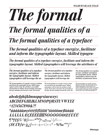# The formal

# The formal qualities of a

## The formal qualities of a typeface

The formal qualities of a typeface energize, facilitate and inform the typographic layout. Skilled typogra-

The formal qualities of a typeface energize, facilitate and inform the typographic layout. Skilled typographers will leverage the attributes of

 $\frac{12}{15}$ 

The formal qualities of a typeface *energize, facilitate and inform* the typographic layout. Skilled typographers will leverage the at-

 $\frac{1}{14/15}$ 

The formal qualities of a typeface energize, facilitate and inform the typographic layout. Skilled typographers will leverage the attributes of carefully selected fonts to enhance the personality of the page, thereby standing out from the crowd. The formal

The formal qualities of a typeface *energize, facilitate and inform* the typographic layout. Skilled typographers will leverage the

The formal qualities of a typeface energize, facilitate and inform the typographic layout. Skilled typographers will leverage the attributes of judiciously chosen fonts to maximize the personality of the page, thereby standing out from the crowd. The

The formal qualities of a typeface energize, facilitate and inform the typographic layout. Skilled typographers will leverage the attributes of judiciously chosen

 $10/11$ 

The formal qualities of a typeface energize, facilitate and inform the typographic layout. Skilled typographers will leverage the attributes of judiciously chosen fonts to maximize the personality of the page, thereby standing out from the crowd. The formal qualities of

### abcdefghijklmnopqrstuvwxyz ABCDEFGHIJKLMNOPQRSTUVWXYZ #1234567890&?! <sup>a</sup>áàâãäåæçéèêëfiflűîüñ °óòôõöøœßúùûü *AAAAÄAÆÇÉÉÉÉËÍIIÑÓÒÔÕÖØŒÚÙŮÜ*  $\int^{\ast} \leftarrow \int \mathbb{C}^{\circ} \mathbb{Q} \left[ \leftarrow \right] \times \leftarrow \leftarrow \leftarrow$  $(S\epsilon \pounds \pounds \pounds \pounds \pounds \pounds \rightharpoonup )$  ;  $\epsilon$  =+- $\pm$   $\div$   $\lt>$   $\neg$  ^  $\sim$  % %0 ''' $\circ$  } "